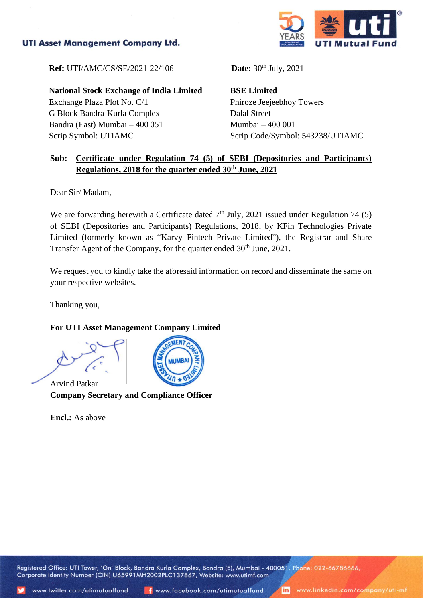## **UTI Asset Management Company Ltd.**



**Ref:** UTI/AMC/CS/SE/2021-22/106 **Date:** 30<sup>th</sup> July, 2021

**National Stock Exchange of India Limited**

Exchange Plaza Plot No. C/1 G Block Bandra-Kurla Complex Bandra (East) Mumbai – 400 051 Scrip Symbol: UTIAMC

**BSE Limited** Phiroze Jeejeebhoy Towers Dalal Street Mumbai – 400 001 Scrip Code/Symbol: 543238/UTIAMC

## **Sub: Certificate under Regulation 74 (5) of SEBI (Depositories and Participants) Regulations, 2018 for the quarter ended 30th June, 2021**

Dear Sir/ Madam,

We are forwarding herewith a Certificate dated  $7<sup>th</sup>$  July, 2021 issued under Regulation 74 (5) of SEBI (Depositories and Participants) Regulations, 2018, by KFin Technologies Private Limited (formerly known as "Karvy Fintech Private Limited"), the Registrar and Share Transfer Agent of the Company, for the quarter ended 30<sup>th</sup> June, 2021.

We request you to kindly take the aforesaid information on record and disseminate the same on your respective websites.

Thanking you,

## **For UTI Asset Management Company Limited**

Arvind Patkar **Company Secretary and Compliance Officer**

**Encl.:** As above



Registered Office: UTI Tower, 'Gn' Block, Bandra Kurla Complex, Bandra (E), Mumbai - 400051. Phone: 022-66786666, Corporate Identity Number (CIN) U65991MH2002PLC137867, Website: www.utimf.com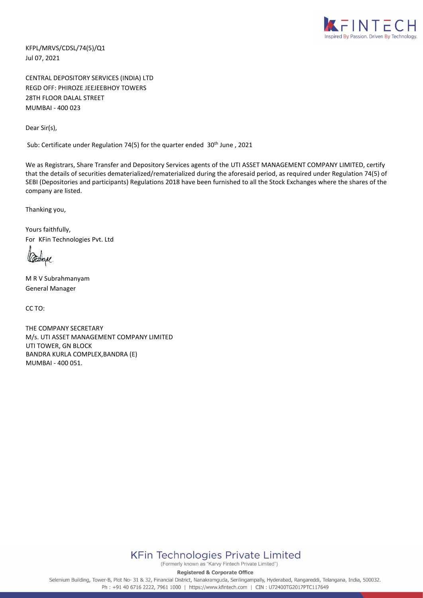

KFPL/MRVS/CDSL/74(5)/Q1 Jul 07, 2021

CENTRAL DEPOSITORY SERVICES (INDIA) LTD REGD OFF: PHIROZE JEEJEEBHOY TOWERS 28TH FLOOR DALAL STREET MUMBAI - 400 023

Dear Sir(s),

Sub: Certificate under Regulation 74(5) for the quarter ended 30<sup>th</sup> June, 2021

We as Registrars, Share Transfer and Depository Services agents of the UTI ASSET MANAGEMENT COMPANY LIMITED, certify that the details of securities dematerialized/rematerialized during the aforesaid period, as required under Regulation 74(5) of SEBI (Depositories and participants) Regulations 2018 have been furnished to all the Stock Exchanges where the shares of the company are listed.

Thanking you,

Yours faithfully, For KFin Technologies Pvt. Ltd

M R V Subrahmanyam General Manager

CC TO:

THE COMPANY SECRETARY M/s. UTI ASSET MANAGEMENT COMPANY LIMITED UTI TOWER, GN BLOCK BANDRA KURLA COMPLEX,BANDRA (E) MUMBAI - 400 051.



(Formerly known as "Karvy Fintech Private Limited")

**Registered & Corporate Office** 

Selenium Building, Tower-B, Plot No- 31 & 32, Financial District, Nanakramguda, Serilingampally, Hyderabad, Rangareddi, Telangana, India, 500032. Ph: +91 40 6716 2222, 7961 1000 | https://www.kfintech.com | CIN: U72400TG2017PTC117649